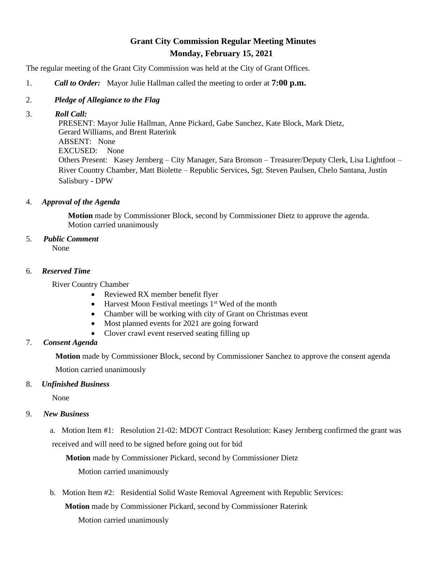# **Grant City Commission Regular Meeting Minutes Monday, February 15, 2021**

The regular meeting of the Grant City Commission was held at the City of Grant Offices.

- 1. *Call to Order:* Mayor Julie Hallman called the meeting to order at **7:00 p.m.**
- 2. *Pledge of Allegiance to the Flag*

#### 3. *Roll Call:*

 PRESENT: Mayor Julie Hallman, Anne Pickard, Gabe Sanchez, Kate Block, Mark Dietz, Gerard Williams, and Brent Raterink ABSENT: None EXCUSED: None Others Present: Kasey Jernberg – City Manager, Sara Bronson – Treasurer/Deputy Clerk, Lisa Lightfoot – River Country Chamber, Matt Biolette – Republic Services, Sgt. Steven Paulsen, Chelo Santana, Justin Salisbury - DPW

### 4. *Approval of the Agenda*

 **Motion** made by Commissioner Block, second by Commissioner Dietz to approve the agenda. Motion carried unanimously

## 5. *Public Comment*

None

### 6. *Reserved Time*

River Country Chamber

- Reviewed RX member benefit flyer
- Harvest Moon Festival meetings  $1<sup>st</sup>$  Wed of the month
- Chamber will be working with city of Grant on Christmas event
- Most planned events for 2021 are going forward
- Clover crawl event reserved seating filling up

# 7. *Consent Agenda*

**Motion** made by Commissioner Block, second by Commissioner Sanchez to approve the consent agenda Motion carried unanimously

### 8. *Unfinished Business*

None

### 9. *New Business*

 a. Motion Item #1: Resolution 21-02: MDOT Contract Resolution: Kasey Jernberg confirmed the grant was received and will need to be signed before going out for bid

**Motion** made by Commissioner Pickard, second by Commissioner Dietz

Motion carried unanimously

b. Motion Item #2: Residential Solid Waste Removal Agreement with Republic Services:

**Motion** made by Commissioner Pickard, second by Commissioner Raterink

Motion carried unanimously